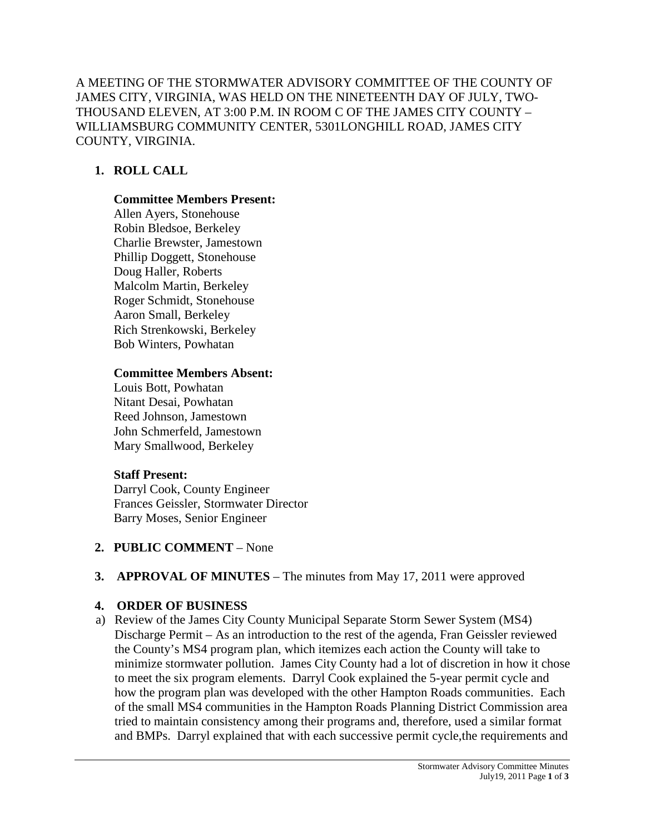A MEETING OF THE STORMWATER ADVISORY COMMITTEE OF THE COUNTY OF JAMES CITY, VIRGINIA, WAS HELD ON THE NINETEENTH DAY OF JULY, TWO-THOUSAND ELEVEN, AT 3:00 P.M. IN ROOM C OF THE JAMES CITY COUNTY – WILLIAMSBURG COMMUNITY CENTER, 5301LONGHILL ROAD, JAMES CITY COUNTY, VIRGINIA.

# **1. ROLL CALL**

## **Committee Members Present:**

Allen Ayers, Stonehouse Robin Bledsoe, Berkeley Charlie Brewster, Jamestown Phillip Doggett, Stonehouse Doug Haller, Roberts Malcolm Martin, Berkeley Roger Schmidt, Stonehouse Aaron Small, Berkeley Rich Strenkowski, Berkeley Bob Winters, Powhatan

## **Committee Members Absent:**

Louis Bott, Powhatan Nitant Desai, Powhatan Reed Johnson, Jamestown John Schmerfeld, Jamestown Mary Smallwood, Berkeley

## **Staff Present:**

Darryl Cook, County Engineer Frances Geissler, Stormwater Director Barry Moses, Senior Engineer

**2. PUBLIC COMMENT** – None

# **3. APPROVAL OF MINUTES** – The minutes from May 17, 2011 were approved

# **4. ORDER OF BUSINESS**

a) Review of the James City County Municipal Separate Storm Sewer System (MS4) Discharge Permit – As an introduction to the rest of the agenda, Fran Geissler reviewed the County's MS4 program plan, which itemizes each action the County will take to minimize stormwater pollution. James City County had a lot of discretion in how it chose to meet the six program elements. Darryl Cook explained the 5-year permit cycle and how the program plan was developed with the other Hampton Roads communities. Each of the small MS4 communities in the Hampton Roads Planning District Commission area tried to maintain consistency among their programs and, therefore, used a similar format and BMPs. Darryl explained that with each successive permit cycle,the requirements and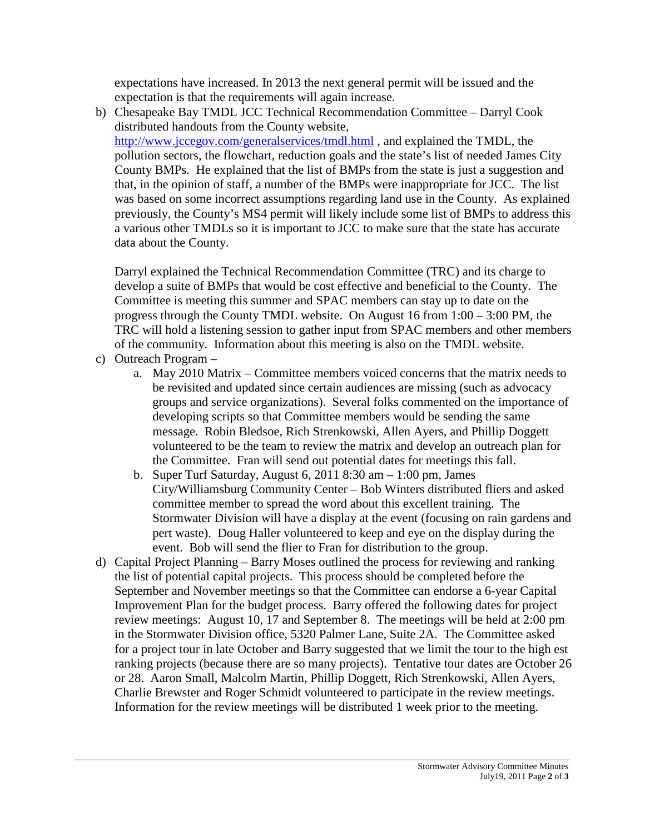expectations have increased. In 2013 the next general permit will be issued and the expectation is that the requirements will again increase.

b) Chesapeake Bay TMDL JCC Technical Recommendation Committee – Darryl Cook distributed handouts from the County website, <http://www.jccegov.com/generalservices/tmdl.html> , and explained the TMDL, the pollution sectors, the flowchart, reduction goals and the state's list of needed James City County BMPs. He explained that the list of BMPs from the state is just a suggestion and that, in the opinion of staff, a number of the BMPs were inappropriate for JCC. The list was based on some incorrect assumptions regarding land use in the County. As explained previously, the County's MS4 permit will likely include some list of BMPs to address this a various other TMDLs so it is important to JCC to make sure that the state has accurate data about the County.

Darryl explained the Technical Recommendation Committee (TRC) and its charge to develop a suite of BMPs that would be cost effective and beneficial to the County. The Committee is meeting this summer and SPAC members can stay up to date on the progress through the County TMDL website. On August 16 from 1:00 – 3:00 PM, the TRC will hold a listening session to gather input from SPAC members and other members of the community. Information about this meeting is also on the TMDL website.

- c) Outreach Program
	- a. May 2010 Matrix Committee members voiced concerns that the matrix needs to be revisited and updated since certain audiences are missing (such as advocacy groups and service organizations). Several folks commented on the importance of developing scripts so that Committee members would be sending the same message. Robin Bledsoe, Rich Strenkowski, Allen Ayers, and Phillip Doggett volunteered to be the team to review the matrix and develop an outreach plan for the Committee. Fran will send out potential dates for meetings this fall.
	- b. Super Turf Saturday, August 6, 2011 8:30 am 1:00 pm, James City/Williamsburg Community Center – Bob Winters distributed fliers and asked committee member to spread the word about this excellent training. The Stormwater Division will have a display at the event (focusing on rain gardens and pert waste). Doug Haller volunteered to keep and eye on the display during the event. Bob will send the flier to Fran for distribution to the group.
- d) Capital Project Planning Barry Moses outlined the process for reviewing and ranking the list of potential capital projects. This process should be completed before the September and November meetings so that the Committee can endorse a 6-year Capital Improvement Plan for the budget process. Barry offered the following dates for project review meetings: August 10, 17 and September 8. The meetings will be held at 2:00 pm in the Stormwater Division office, 5320 Palmer Lane, Suite 2A. The Committee asked for a project tour in late October and Barry suggested that we limit the tour to the high est ranking projects (because there are so many projects). Tentative tour dates are October 26 or 28. Aaron Small, Malcolm Martin, Phillip Doggett, Rich Strenkowski, Allen Ayers, Charlie Brewster and Roger Schmidt volunteered to participate in the review meetings. Information for the review meetings will be distributed 1 week prior to the meeting.